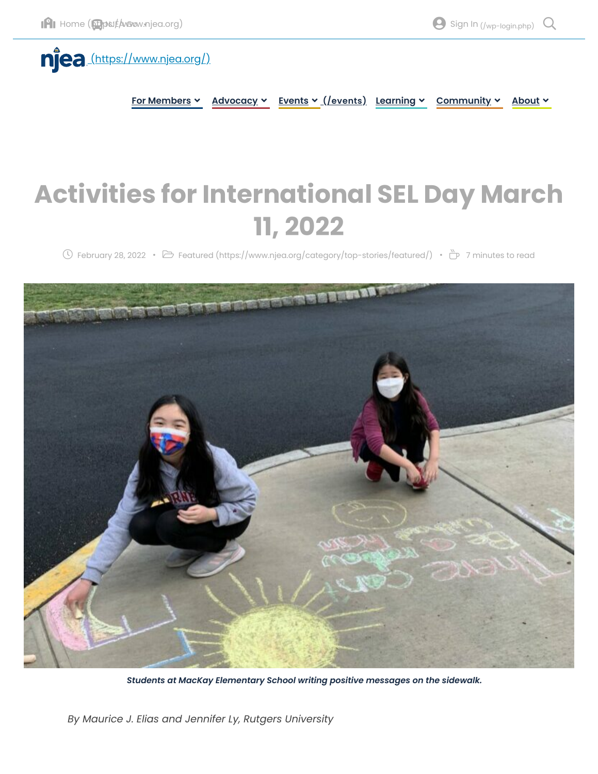

**For Members Advocacy Events [\(/events\)](https://www.njea.org/events) Learning Community About**

# **Activities for International SEL Day March 11, 2022**

 $\circled{0}$  February 28, 2022 •  $\circled{B}$  Featured [\(https://www.njea.org/category/top-stories/featured/\)](https://www.njea.org/category/top-stories/featured/) •  $\circled{b}$  7 minutes to read



*Students at MacKay Elementary School writing positive messages on the sidewalk.*

*By Maurice J. Elias and Jennifer Ly, Rutgers University*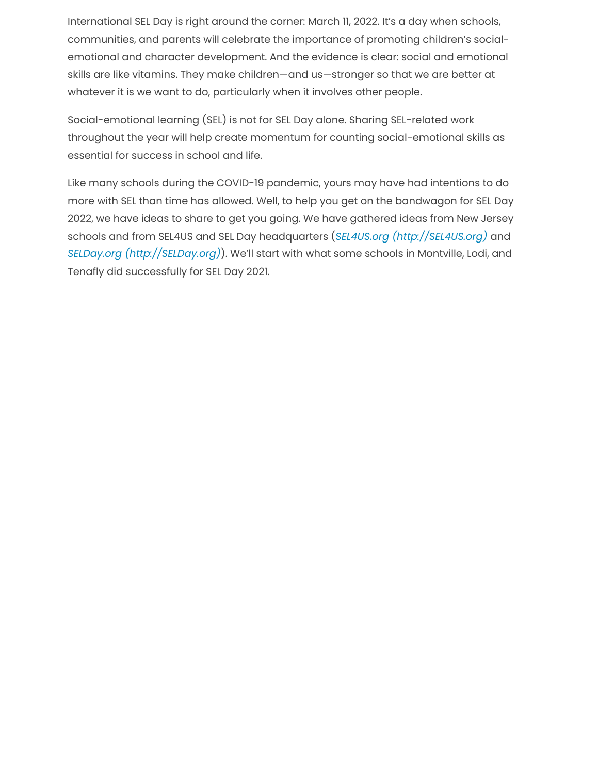International SEL Day is right around the corner: March 11, 2022. It's a day when schools, communities, and parents will celebrate the importance of promoting children's socialemotional and character development. And the evidence is clear: social and emotional skills are like vitamins. They make children—and us—stronger so that we are better at whatever it is we want to do, particularly when it involves other people.

Social-emotional learning (SEL) is not for SEL Day alone. Sharing SEL-related work throughout the year will help create momentum for counting social-emotional skills as essential for success in school and life.

Like many schools during the COVID-19 pandemic, yours may have had intentions to do more with SEL than time has allowed. Well, to help you get on the bandwagon for SEL Day 2022, we have ideas to share to get you going. We have gathered ideas from New Jersey schools and from SEL4US and SEL Day headquarters (*SEL4US.org [\(http://SEL4US.org\)](http://sel4us.org/)* and *SELDay.org [\(http://SELDay.org\)](http://selday.org/)*). We'll start with what some schools in Montville, Lodi, and Tenafly did successfully for SEL Day 2021.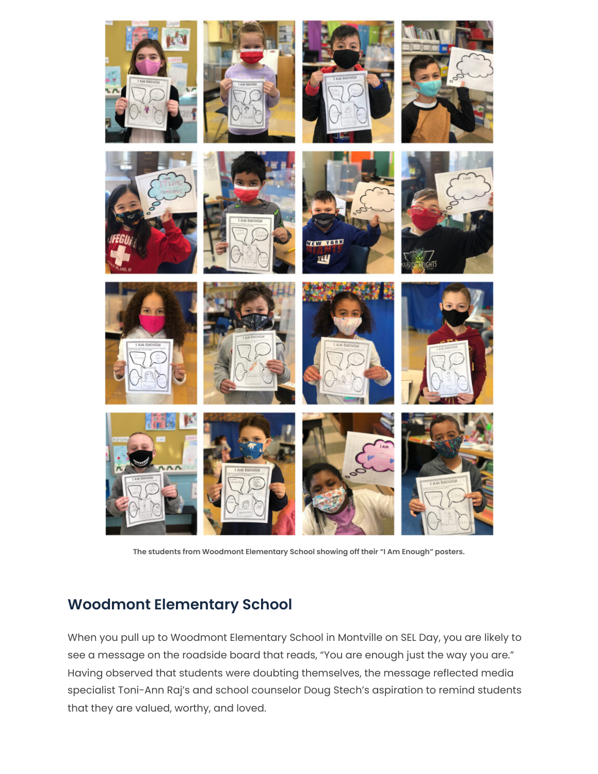

















**The students from Woodmont Elementary School showing off their "I Am Enough" posters.**

# **Woodmont Elementary School**

When you pull up to Woodmont Elementary School in Montville on SEL Day, you are likely to see a message on the roadside board that reads, "You are enough just the way you are." Having observed that students were doubting themselves, the message reflected media specialist Toni-Ann Raj's and school counselor Doug Stech's aspiration to remind students that they are valued, worthy, and loved.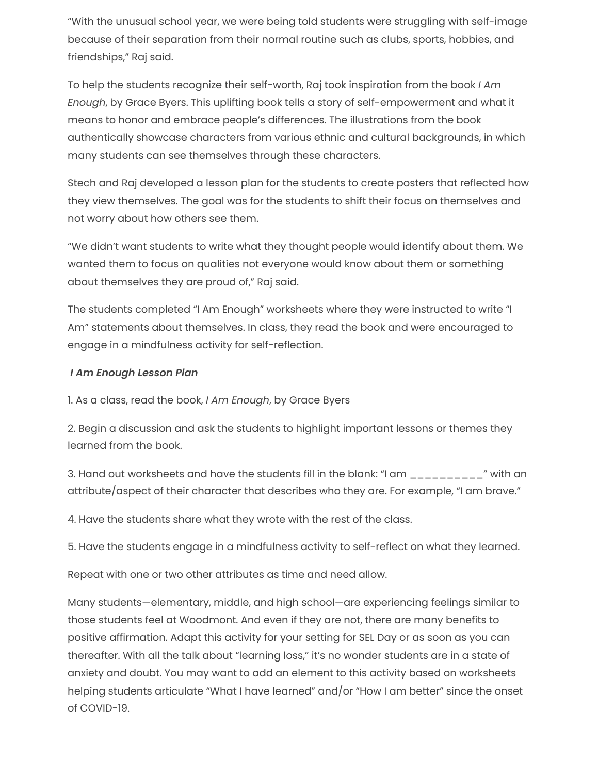"With the unusual school year, we were being told students were struggling with self-image because of their separation from their normal routine such as clubs, sports, hobbies, and friendships," Raj said.

To help the students recognize their self-worth, Raj took inspiration from the book *I Am Enough*, by Grace Byers. This uplifting book tells a story of self-empowerment and what it means to honor and embrace people's differences. The illustrations from the book authentically showcase characters from various ethnic and cultural backgrounds, in which many students can see themselves through these characters.

Stech and Raj developed a lesson plan for the students to create posters that reflected how they view themselves. The goal was for the students to shift their focus on themselves and not worry about how others see them.

"We didn't want students to write what they thought people would identify about them. We wanted them to focus on qualities not everyone would know about them or something about themselves they are proud of," Raj said.

The students completed "I Am Enough" worksheets where they were instructed to write "I Am" statements about themselves. In class, they read the book and were encouraged to engage in a mindfulness activity for self-reflection.

### *I Am Enough Lesson Plan*

1. As a class, read the book, *I Am Enough*, by Grace Byers

2. Begin a discussion and ask the students to highlight important lessons or themes they learned from the book.

3. Hand out worksheets and have the students fill in the blank: "I am  $\mu_{\text{max}} = \mu_{\text{max}}$ " with an attribute/aspect of their character that describes who they are. For example, "I am brave."

4. Have the students share what they wrote with the rest of the class.

5. Have the students engage in a mindfulness activity to self-reflect on what they learned.

Repeat with one or two other attributes as time and need allow.

Many students—elementary, middle, and high school—are experiencing feelings similar to those students feel at Woodmont. And even if they are not, there are many benefits to positive affirmation. Adapt this activity for your setting for SEL Day or as soon as you can thereafter. With all the talk about "learning loss," it's no wonder students are in a state of anxiety and doubt. You may want to add an element to this activity based on worksheets helping students articulate "What I have learned" and/or "How I am better" since the onset of COVID-19.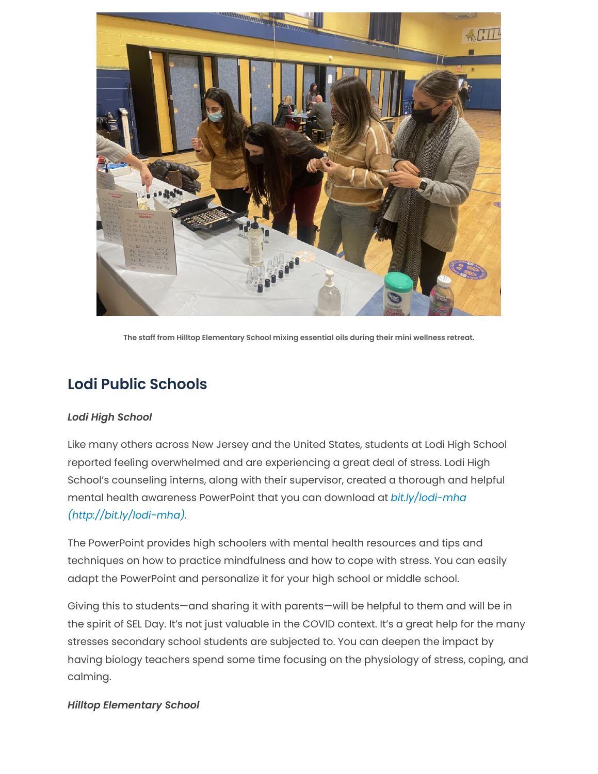

**The staff from Hilltop Elementary School mixing essential oils during their mini wellness retreat.**

# **Lodi Public Schools**

### *Lodi High School*

Like many others across New Jersey and the United States, students at Lodi High School reported feeling overwhelmed and are experiencing a great deal of stress. Lodi High School's counseling interns, along with their supervisor, created a thorough and helpful [mental health awareness PowerPoint that you can download](http://bit.ly/lodi-mha) at *bit.ly/lodi-mha (http://bit.ly/lodi-mha).*

The PowerPoint provides high schoolers with mental health resources and tips and techniques on how to practice mindfulness and how to cope with stress. You can easily adapt the PowerPoint and personalize it for your high school or middle school.

Giving this to students—and sharing it with parents—will be helpful to them and will be in the spirit of SEL Day. It's not just valuable in the COVID context. It's a great help for the many stresses secondary school students are subjected to. You can deepen the impact by having biology teachers spend some time focusing on the physiology of stress, coping, and calming.

### *Hilltop Elementary School*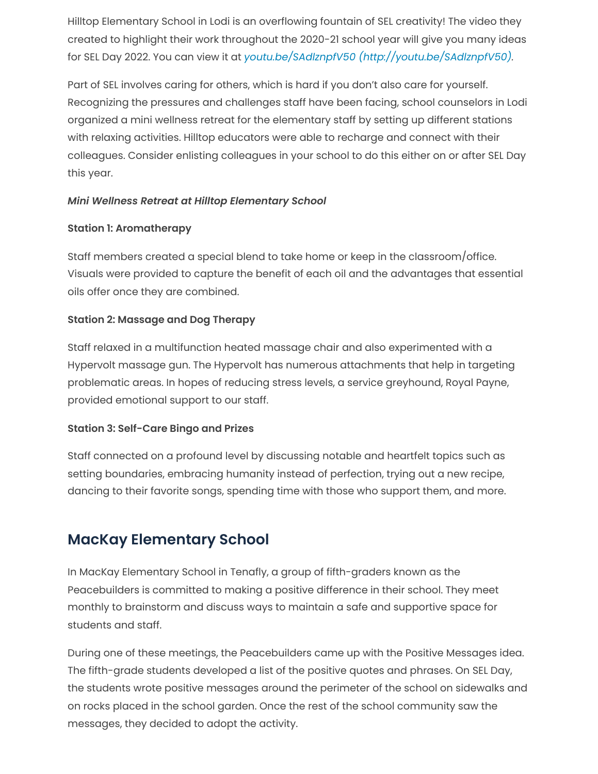Hilltop Elementary School in Lodi is an overflowing fountain of SEL creativity! The video they created to highlight their work throughout the 2020-21 school year will give you many ideas for SEL Day 2022. You can view it at *youtu.be/SAdlznpfV50 [\(http://youtu.be/SAdlznpfV50\)](http://youtu.be/SAdlznpfV50).*

Part of SEL involves caring for others, which is hard if you don't also care for yourself. Recognizing the pressures and challenges staff have been facing, school counselors in Lodi organized a mini wellness retreat for the elementary staff by setting up different stations with relaxing activities. Hilltop educators were able to recharge and connect with their colleagues. Consider enlisting colleagues in your school to do this either on or after SEL Day this year.

# *Mini Wellness Retreat at Hilltop Elementary School*

### **Station 1: Aromatherapy**

Staff members created a special blend to take home or keep in the classroom/office. Visuals were provided to capture the benefit of each oil and the advantages that essential oils offer once they are combined.

# **Station 2: Massage and Dog Therapy**

Staff relaxed in a multifunction heated massage chair and also experimented with a Hypervolt massage gun. The Hypervolt has numerous attachments that help in targeting problematic areas. In hopes of reducing stress levels, a service greyhound, Royal Payne, provided emotional support to our staff.

### **Station 3: Self-Care Bingo and Prizes**

Staff connected on a profound level by discussing notable and heartfelt topics such as setting boundaries, embracing humanity instead of perfection, trying out a new recipe, dancing to their favorite songs, spending time with those who support them, and more.

# **MacKay Elementary School**

In MacKay Elementary School in Tenafly, a group of fifth-graders known as the Peacebuilders is committed to making a positive difference in their school. They meet monthly to brainstorm and discuss ways to maintain a safe and supportive space for students and staff.

During one of these meetings, the Peacebuilders came up with the Positive Messages idea. The fifth-grade students developed a list of the positive quotes and phrases. On SEL Day, the students wrote positive messages around the perimeter of the school on sidewalks and on rocks placed in the school garden. Once the rest of the school community saw the messages, they decided to adopt the activity.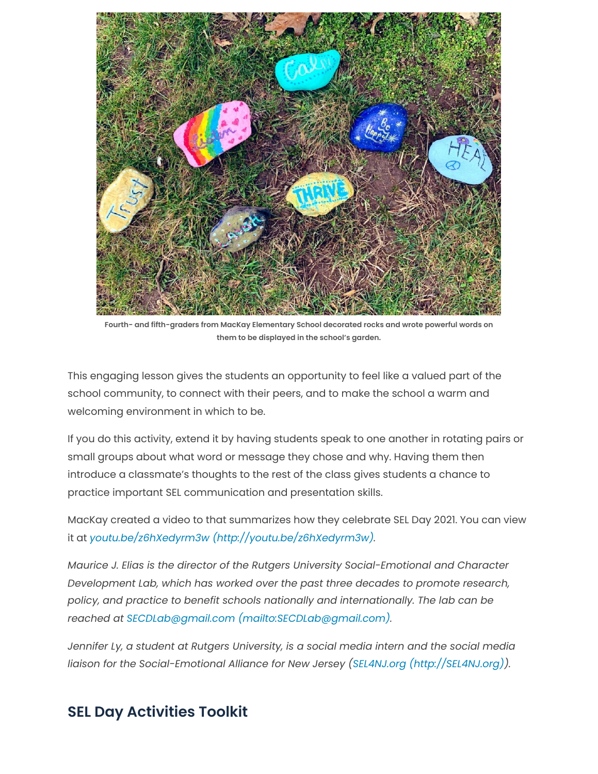

**Fourth- and fifth-graders from MacKay Elementary School decorated rocks and wrote powerful words on them to be displayed in the school's garden.**

This engaging lesson gives the students an opportunity to feel like a valued part of the school community, to connect with their peers, and to make the school a warm and welcoming environment in which to be.

If you do this activity, extend it by having students speak to one another in rotating pairs or small groups about what word or message they chose and why. Having them then introduce a classmate's thoughts to the rest of the class gives students a chance to practice important SEL communication and presentation skills.

MacKay created a video to that summarizes how they celebrate SEL Day 2021. You can view it at *youtu.be/z6hXedyrm3w [\(http://youtu.be/z6hXedyrm3w\)](http://youtu.be/z6hXedyrm3w).*

*Maurice J. Elias is the director of the Rutgers University Social-Emotional and Character Development Lab, which has worked over the past three decades to promote research, policy, and practice to benefit schools nationally and internationally. The lab can be reached at SECDLab@gmail.com [\(mailto:SECDLab@gmail.com\).](mailto:SECDLab@gmail.com)*

*Jennifer Ly, a student at Rutgers University, is a social media intern and the social media liaison for the Social-Emotional Alliance for New Jersey (SEL4NJ.org [\(http://SEL4NJ.org\)](http://sel4nj.org/)).*

# **SEL Day Activities Toolkit**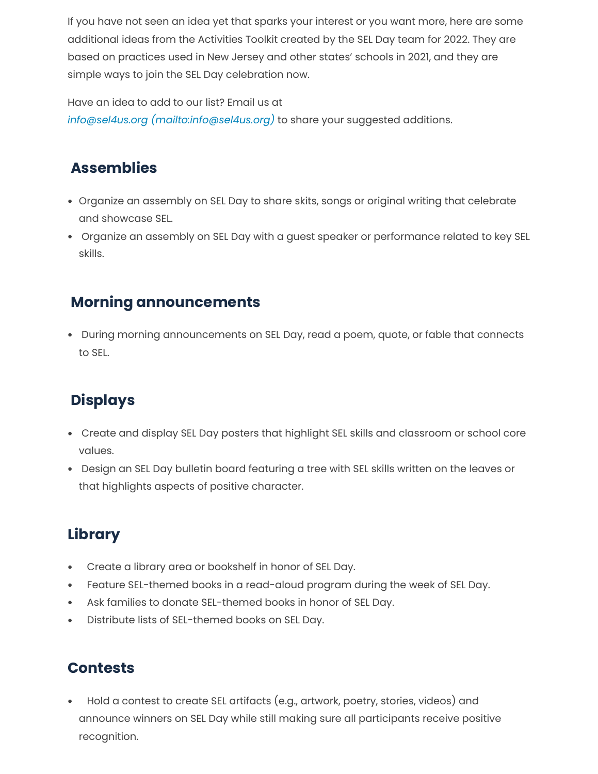If you have not seen an idea yet that sparks your interest or you want more, here are some additional ideas from the Activities Toolkit created by the SEL Day team for 2022. They are based on practices used in New Jersey and other states' schools in 2021, and they are simple ways to join the SEL Day celebration now.

Have an idea to add to our list? Email us at

*info@sel4us.org [\(mailto:info@sel4us.org\)](mailto:info@sel4us.org)* to share your suggested additions.

# **Assemblies**

- Organize an assembly on SEL Day to share skits, songs or original writing that celebrate and showcase SEL.
- Organize an assembly on SEL Day with a guest speaker or performance related to key SEL skills.

# **Morning announcements**

 During morning announcements on SEL Day, read a poem, quote, or fable that connects to SEL.

# **Displays**

- Create and display SEL Day posters that highlight SEL skills and classroom or school core values.
- Design an SEL Day bulletin board featuring a tree with SEL skills written on the leaves or that highlights aspects of positive character.

# **Library**

- Create a library area or bookshelf in honor of SEL Day.
- Feature SEL-themed books in a read-aloud program during the week of SEL Day.
- Ask families to donate SEL-themed books in honor of SEL Day.  $\bullet$
- Distribute lists of SEL-themed books on SEL Day.

# **Contests**

 Hold a contest to create SEL artifacts (e.g., artwork, poetry, stories, videos) and announce winners on SEL Day while still making sure all participants receive positive recognition.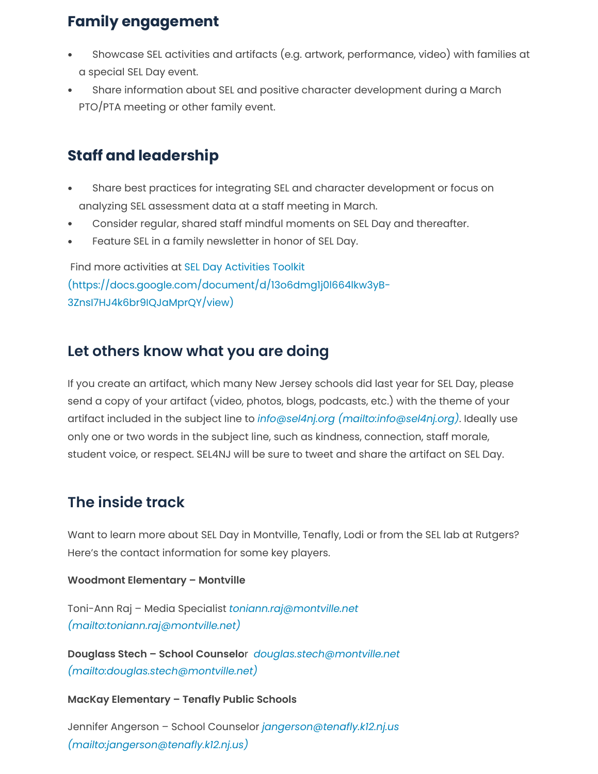# **Family engagement**

- Showcase SEL activities and artifacts (e.g. artwork, performance, video) with families at a special SEL Day event.
- Share information about SEL and positive character development during a March PTO/PTA meeting or other family event.

# **Staff and leadership**

- Share best practices for integrating SEL and character development or focus on analyzing SEL assessment data at a staff meeting in March.
- Consider regular, shared staff mindful moments on SEL Day and thereafter.  $\ddot{\phantom{a}}$
- Feature SEL in a family newsletter in honor of SEL Day.

 Find more activities at SEL Day Activities Toolkit [\(https://docs.google.com/document/d/13o6dmg1j0l664lkw3yB-](https://docs.google.com/document/d/13o6dmg1j0l664lkw3yB-3ZnsI7HJ4k6br9IQJaMprQY/view)3ZnsI7HJ4k6br9IQJaMprQY/view)

# **Let others know what you are doing**

If you create an artifact, which many New Jersey schools did last year for SEL Day, please send a copy of your artifact (video, photos, blogs, podcasts, etc.) with the theme of your artifact included in the subject line to *info@sel4nj.org [\(mailto:info@sel4nj.org\)](mailto:info@sel4nj.org)*. Ideally use only one or two words in the subject line, such as kindness, connection, staff morale, student voice, or respect. SEL4NJ will be sure to tweet and share the artifact on SEL Day.

# **The inside track**

Want to learn more about SEL Day in Montville, Tenafly, Lodi or from the SEL lab at Rutgers? Here's the contact information for some key players.

**Woodmont Elementary – Montville**

Toni-Ann Raj – Media Specialist *toniann.raj@montville.net [\(mailto:toniann.raj@montville.net\)](mailto:toniann.raj@montville.net)*

**Douglass Stech – School Counselo**r *douglas.stech@montville.net [\(mailto:douglas.stech@montville.net\)](mailto:douglas.stech@montville.net)*

**MacKay Elementary – Tenafly Public Schools**

[Jennifer Angerson – School Counselor](mailto:jangerson@tenafly.k12.nj.us) *jangerson@tenafly.k12.nj.us (mailto:jangerson@tenafly.k12.nj.us)*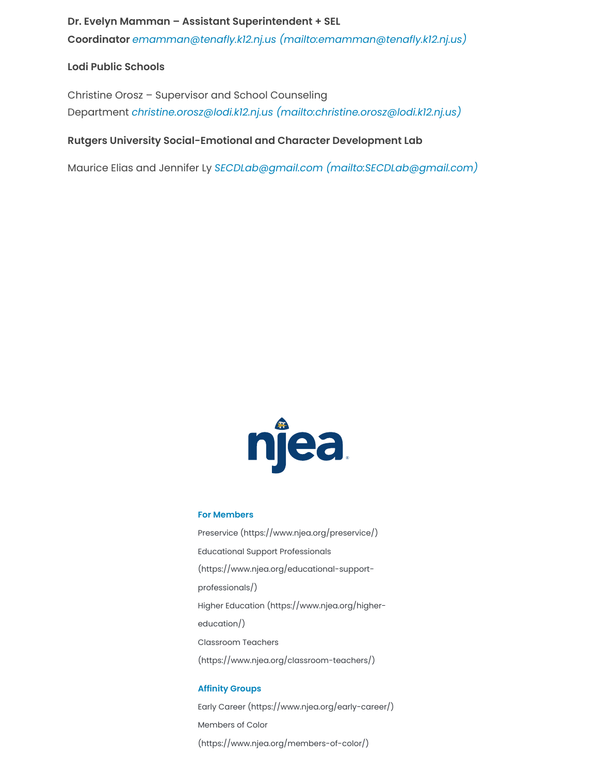### **Dr. Evelyn Mamman – Assistant Superintendent + SEL**

**Coordinator** *emamman@tenafly.k12.nj.us [\(mailto:emamman@tenafly.k12.nj.us\)](mailto:emamman@tenafly.k12.nj.us)*

### **Lodi Public Schools**

Christine Orosz – Supervisor and School Counseling Department *christine.orosz@lodi.k12.nj.us [\(mailto:christine.orosz@lodi.k12.nj.us\)](mailto:christine.orosz@lodi.k12.nj.us)*

### **Rutgers University Social-Emotional and Character Development Lab**

Maurice Elias and Jennifer Ly *SECDLab@gmail.com [\(mailto:SECDLab@gmail.com\)](mailto:SECDLab@gmail.com)*



### **For Members**

Preservice [\(https://www.njea.org/preservice/\)](https://www.njea.org/preservice/) Educational Support Professionals [\(https://www.njea.org/educational-support](https://www.njea.org/educational-support-professionals/)professionals/) Higher Education [\(https://www.njea.org/higher](https://www.njea.org/higher-education/)education/) Classroom Teachers [\(https://www.njea.org/classroom-teachers/\)](https://www.njea.org/classroom-teachers/)

### **Affinity Groups**

Early Career [\(https://www.njea.org/early-career/\)](https://www.njea.org/early-career/) Members of Color [\(https://www.njea.org/members-of-color/\)](https://www.njea.org/members-of-color/)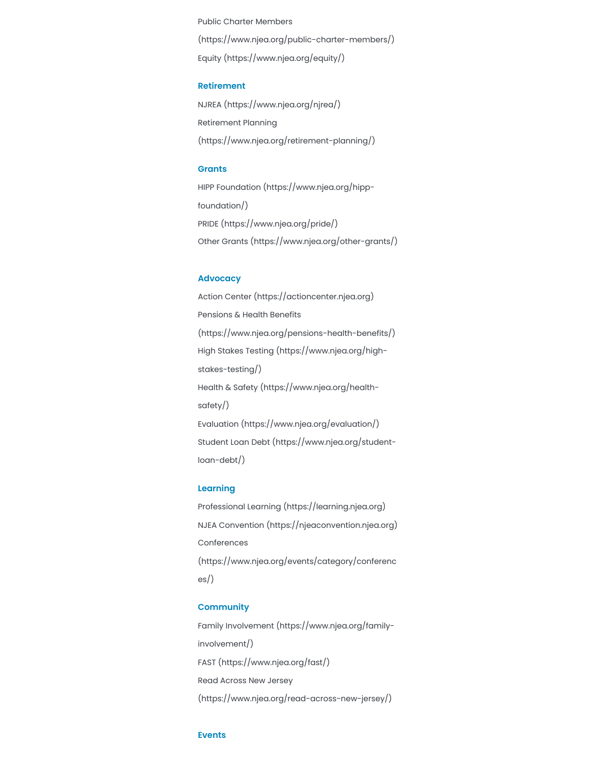Public Charter Members [\(https://www.njea.org/public-charter-members/\)](https://www.njea.org/public-charter-members/) Equity [\(https://www.njea.org/equity/\)](https://www.njea.org/equity/)

#### **Retirement**

NJREA [\(https://www.njea.org/njrea/\)](https://www.njea.org/njrea/) Retirement Planning [\(https://www.njea.org/retirement-planning/\)](https://www.njea.org/retirement-planning/)

#### **Grants**

HIPP Foundation [\(https://www.njea.org/hipp](https://www.njea.org/hipp-foundation/)foundation/) PRIDE [\(https://www.njea.org/pride/\)](https://www.njea.org/pride/) Other Grants [\(https://www.njea.org/other-grants/\)](https://www.njea.org/other-grants/)

### **Advocacy**

Action Center [\(https://actioncenter.njea.org\)](https://actioncenter.njea.org/) Pensions & Health Benefits [\(https://www.njea.org/pensions-health-benefits/\)](https://www.njea.org/pensions-health-benefits/) High Stakes Testing [\(https://www.njea.org/high](https://www.njea.org/high-stakes-testing/)stakes-testing/) Health & Safety [\(https://www.njea.org/health](https://www.njea.org/health-safety/)safety/) Evaluation [\(https://www.njea.org/evaluation/\)](https://www.njea.org/evaluation/) Student Loan Debt [\(https://www.njea.org/student](https://www.njea.org/student-loan-debt/)loan-debt/)

#### **Learning**

Professional Learning [\(https://learning.njea.org\)](https://learning.njea.org/) NJEA Convention [\(https://njeaconvention.njea.org\)](https://njeaconvention.njea.org/) Conferences [\(https://www.njea.org/events/category/conferenc](https://www.njea.org/events/category/conferences/) es/)

#### **Community**

Family Involvement [\(https://www.njea.org/family](https://www.njea.org/family-involvement/)involvement/) FAST [\(https://www.njea.org/fast/\)](https://www.njea.org/fast/) Read Across New Jersey [\(https://www.njea.org/read-across-new-jersey/\)](https://www.njea.org/read-across-new-jersey/)

#### **Events**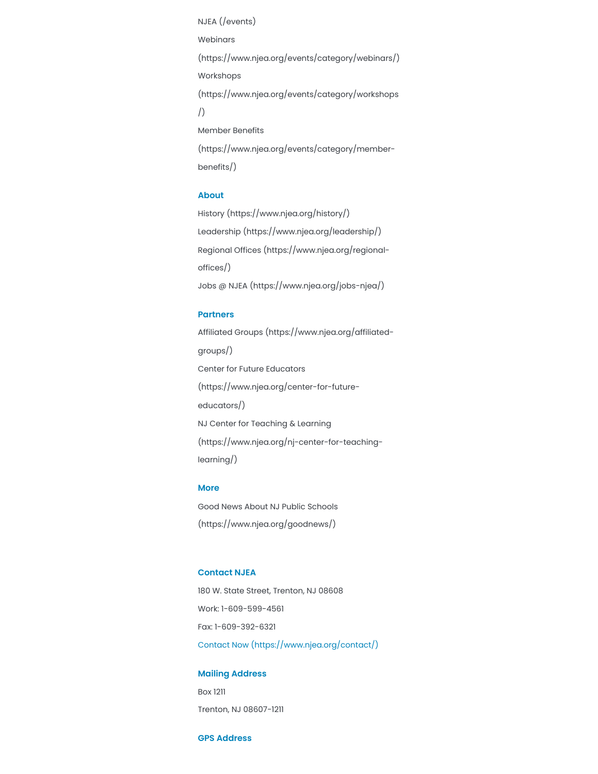NJEA [\(/events\)](https://www.njea.org/events) Webinars [\(https://www.njea.org/events/category/webinars/\)](https://www.njea.org/events/category/webinars/) Workshops [\(https://www.njea.org/events/category/workshops](https://www.njea.org/events/category/workshops/) /) Member Benefits [\(https://www.njea.org/events/category/member](https://www.njea.org/events/category/member-benefits/)benefits/)

#### **About**

History [\(https://www.njea.org/history/\)](https://www.njea.org/history/) Leadership [\(https://www.njea.org/leadership/\)](https://www.njea.org/leadership/) Regional Offices [\(https://www.njea.org/regional](https://www.njea.org/regional-offices/)offices/) Jobs @ NJEA [\(https://www.njea.org/jobs-njea/\)](https://www.njea.org/jobs-njea/)

#### **Partners**

Affiliated Groups [\(https://www.njea.org/affiliated](https://www.njea.org/affiliated-groups/)groups/) Center for Future Educators [\(https://www.njea.org/center-for-future](https://www.njea.org/center-for-future-educators/)educators/) NJ Center for Teaching & Learning [\(https://www.njea.org/nj-center-for-teaching](https://www.njea.org/nj-center-for-teaching-learning/)learning/)

### **More**

Good News About NJ Public Schools [\(https://www.njea.org/goodnews/\)](https://www.njea.org/goodnews/)

#### **Contact NJEA**

180 W. State Street, Trenton, NJ 08608 Work: 1-609-599-4561 Fax: 1-609-392-6321 Contact Now [\(https://www.njea.org/contact/\)](https://www.njea.org/contact/)

#### **Mailing Address**

Box 1211 Trenton, NJ 08607-1211

#### **GPS Address**